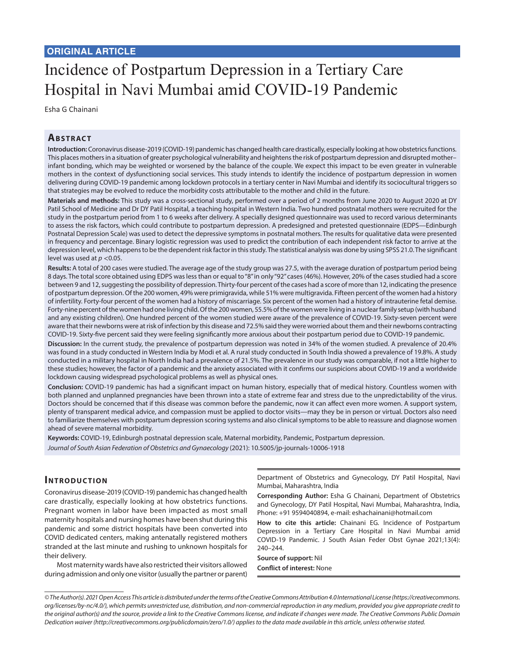# Incidence of Postpartum Depression in a Tertiary Care Hospital in Navi Mumbai amid COVID-19 Pandemic

Esha G Chainani

## **ABSTRACT**

**Introduction:** Coronavirus disease-2019 (COVID-19) pandemic has changed health care drastically, especially looking at how obstetrics functions. This places mothers in a situation of greater psychological vulnerability and heightens the risk of postpartum depression and disrupted mother– infant bonding, which may be weighted or worsened by the balance of the couple. We expect this impact to be even greater in vulnerable mothers in the context of dysfunctioning social services. This study intends to identify the incidence of postpartum depression in women delivering during COVID-19 pandemic among lockdown protocols in a tertiary center in Navi Mumbai and identify its sociocultural triggers so that strategies may be evolved to reduce the morbidity costs attributable to the mother and child in the future.

**Materials and methods:** This study was a cross-sectional study, performed over a period of 2 months from June 2020 to August 2020 at DY Patil School of Medicine and Dr DY Patil Hospital, a teaching hospital in Western India. Two hundred postnatal mothers were recruited for the study in the postpartum period from 1 to 6 weeks after delivery. A specially designed questionnaire was used to record various determinants to assess the risk factors, which could contribute to postpartum depression. A predesigned and pretested questionnaire (EDPS—Edinburgh Postnatal Depression Scale) was used to detect the depressive symptoms in postnatal mothers. The results for qualitative data were presented in frequency and percentage. Binary logistic regression was used to predict the contribution of each independent risk factor to arrive at the depression level, which happens to be the dependent risk factor in this study. The statistical analysis was done by using SPSS 21.0. The significant level was used at *p* <0.05.

**Results:** A total of 200 cases were studied. The average age of the study group was 27.5, with the average duration of postpartum period being 8 days. The total score obtained using EDPS was less than or equal to "8" in only "92" cases (46%). However, 20% of the cases studied had a score between 9 and 12, suggesting the possibility of depression. Thirty-four percent of the cases had a score of more than 12, indicating the presence of postpartum depression. Of the 200 women, 49% were primigravida, while 51% were multigravida. Fifteen percent of the women had a history of infertility. Forty-four percent of the women had a history of miscarriage. Six percent of the women had a history of intrauterine fetal demise. Forty-nine percent of the women had one living child. Of the 200 women, 55.5% of the women were living in a nuclear family setup (with husband and any existing children). One hundred percent of the women studied were aware of the prevalence of COVID-19. Sixty-seven percent were aware that their newborns were at risk of infection by this disease and 72.5% said they were worried about them and their newborns contracting COVID-19. Sixty-five percent said they were feeling significantly more anxious about their postpartum period due to COVID-19 pandemic.

**Discussion:** In the current study, the prevalence of postpartum depression was noted in 34% of the women studied. A prevalence of 20.4% was found in a study conducted in Western India by Modi et al. A rural study conducted in South India showed a prevalence of 19.8%. A study conducted in a military hospital in North India had a prevalence of 21.5%. The prevalence in our study was comparable, if not a little higher to these studies; however, the factor of a pandemic and the anxiety associated with it confirms our suspicions about COVID-19 and a worldwide lockdown causing widespread psychological problems as well as physical ones.

**Conclusion:** COVID-19 pandemic has had a significant impact on human history, especially that of medical history. Countless women with both planned and unplanned pregnancies have been thrown into a state of extreme fear and stress due to the unpredictability of the virus. Doctors should be concerned that if this disease was common before the pandemic, now it can affect even more women. A support system, plenty of transparent medical advice, and compassion must be applied to doctor visits—may they be in person or virtual. Doctors also need to familiarize themselves with postpartum depression scoring systems and also clinical symptoms to be able to reassure and diagnose women ahead of severe maternal morbidity.

**Keywords:** COVID-19, Edinburgh postnatal depression scale, Maternal morbidity, Pandemic, Postpartum depression. *Journal of South Asian Federation of Obstetrics and Gynaecology* (2021): 10.5005/jp-journals-10006-1918

#### **INTRODUCTION**

Coronavirus disease-2019 (COVID-19) pandemic has changed health care drastically, especially looking at how obstetrics functions. Pregnant women in labor have been impacted as most small maternity hospitals and nursing homes have been shut during this pandemic and some district hospitals have been converted into COVID dedicated centers, making antenatally registered mothers stranded at the last minute and rushing to unknown hospitals for their delivery.

Most maternity wards have also restricted their visitors allowed during admission and only one visitor (usually the partner or parent) Department of Obstetrics and Gynecology, DY Patil Hospital, Navi Mumbai, Maharashtra, India

**Corresponding Author:** Esha G Chainani, Department of Obstetrics and Gynecology, DY Patil Hospital, Navi Mumbai, Maharashtra, India, Phone: +91 9594040894, e-mail: eshachainani@hotmail.com

**How to cite this article:** Chainani EG*.* Incidence of Postpartum Depression in a Tertiary Care Hospital in Navi Mumbai amid COVID-19 Pandemic. J South Asian Feder Obst Gynae 2021;13(4): 240–244.

**Source of support:** Nil **Conflict of interest:** None

*<sup>©</sup> The Author(s). 2021 Open Access This article is distributed under the terms of the Creative Commons Attribution 4.0 International License ([https://creativecommons.](https://creativecommons. org/licenses/by-nc/4.0/)  [org/licenses/by-nc/4.0/](https://creativecommons. org/licenses/by-nc/4.0/)), which permits unrestricted use, distribution, and non-commercial reproduction in any medium, provided you give appropriate credit to the original author(s) and the source, provide a link to the Creative Commons license, and indicate if changes were made. The Creative Commons Public Domain Dedication waiver ([http://creativecommons.org/publicdomain/zero/1.0/\)](http://creativecommons.org/publicdomain/zero/1.0/) applies to the data made available in this article, unless otherwise stated.*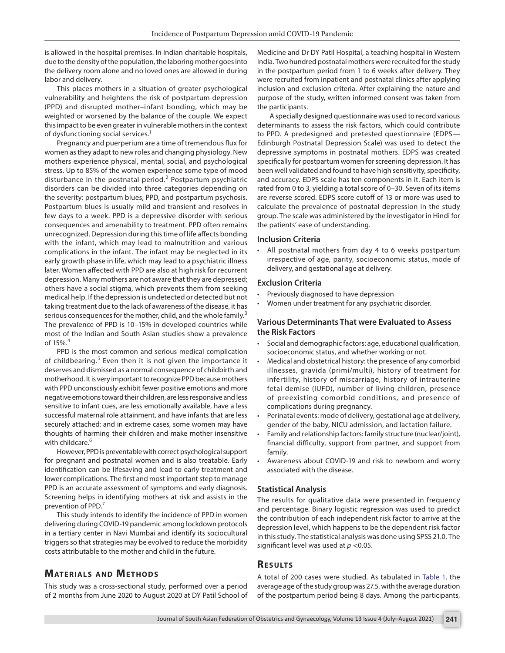is allowed in the hospital premises. In Indian charitable hospitals, due to the density of the population, the laboring mother goes into the delivery room alone and no loved ones are allowed in during labor and delivery.

This places mothers in a situation of greater psychological vulnerability and heightens the risk of postpartum depression (PPD) and disrupted mother–infant bonding, which may be weighted or worsened by the balance of the couple. We expect this impact to be even greater in vulnerable mothers in the context of dysfunctioning social services.<sup>1</sup>

Pregnancy and puerperium are a time of tremendous flux for women as they adapt to new roles and changing physiology. New mothers experience physical, mental, social, and psychological stress. Up to 85% of the women experience some type of mood disturbance in the postnatal period.<sup>[2](#page-3-1)</sup> Postpartum psychiatric disorders can be divided into three categories depending on the severity: postpartum blues, PPD, and postpartum psychosis. Postpartum blues is usually mild and transient and resolves in few days to a week. PPD is a depressive disorder with serious consequences and amenability to treatment. PPD often remains unrecognized. Depression during this time of life affects bonding with the infant, which may lead to malnutrition and various complications in the infant. The infant may be neglected in its early growth phase in life, which may lead to a psychiatric illness later. Women affected with PPD are also at high risk for recurrent depression. Many mothers are not aware that they are depressed; others have a social stigma, which prevents them from seeking medical help. If the depression is undetected or detected but not taking treatment due to the lack of awareness of the disease, it has serious consequences for the mother, child, and the whole family.<sup>[3](#page-4-0)</sup> The prevalence of PPD is 10–15% in developed countries while most of the Indian and South Asian studies show a prevalence of 15% $4$ 

PPD is the most common and serious medical complication of childbearing.<sup>[5](#page-4-2)</sup> Even then it is not given the importance it deserves and dismissed as a normal consequence of childbirth and motherhood. It is very important to recognize PPD because mothers with PPD unconsciously exhibit fewer positive emotions and more negative emotions toward their children, are less responsive and less sensitive to infant cues, are less emotionally available, have a less successful maternal role attainment, and have infants that are less securely attached; and in extreme cases, some women may have thoughts of harming their children and make mother insensitive with childcare.<sup>[6](#page-4-3)</sup>

However, PPD is preventable with correct psychological support for pregnant and postnatal women and is also treatable. Early identification can be lifesaving and lead to early treatment and lower complications. The first and most important step to manage PPD is an accurate assessment of symptoms and early diagnosis. Screening helps in identifying mothers at risk and assists in the prevention of PPD.<sup>7</sup>

This study intends to identify the incidence of PPD in women delivering during COVID-19 pandemic among lockdown protocols in a tertiary center in Navi Mumbai and identify its sociocultural triggers so that strategies may be evolved to reduce the morbidity costs attributable to the mother and child in the future.

#### **MATERIALS AND METHODS**

This study was a cross-sectional study, performed over a period of 2 months from June 2020 to August 2020 at DY Patil School of Medicine and Dr DY Patil Hospital, a teaching hospital in Western India. Two hundred postnatal mothers were recruited for the study in the postpartum period from 1 to 6 weeks after delivery. They were recruited from inpatient and postnatal clinics after applying inclusion and exclusion criteria. After explaining the nature and purpose of the study, written informed consent was taken from the participants.

A specially designed questionnaire was used to record various determinants to assess the risk factors, which could contribute to PPD. A predesigned and pretested questionnaire (EDPS— Edinburgh Postnatal Depression Scale) was used to detect the depressive symptoms in postnatal mothers. EDPS was created specifically for postpartum women for screening depression. It has been well validated and found to have high sensitivity, specificity, and accuracy. EDPS scale has ten components in it. Each item is rated from 0 to 3, yielding a total score of 0–30. Seven of its items are reverse scored. EDPS score cutoff of 13 or more was used to calculate the prevalence of postnatal depression in the study group. The scale was administered by the investigator in Hindi for the patients' ease of understanding.

#### **Inclusion Criteria**

All postnatal mothers from day 4 to 6 weeks postpartum irrespective of age, parity, socioeconomic status, mode of delivery, and gestational age at delivery.

#### **Exclusion Criteria**

- Previously diagnosed to have depression
- Women under treatment for any psychiatric disorder.

#### **Various Determinants That were Evaluated to Assess the Risk Factors**

- Social and demographic factors: age, educational qualification, socioeconomic status, and whether working or not.
- Medical and obstetrical history: the presence of any comorbid illnesses, gravida (primi/multi), history of treatment for infertility, history of miscarriage, history of intrauterine fetal demise (IUFD), number of living children, presence of preexisting comorbid conditions, and presence of complications during pregnancy.
- Perinatal events: mode of delivery, gestational age at delivery, gender of the baby, NICU admission, and lactation failure.
- Family and relationship factors: family structure (nuclear/joint), financial difficulty, support from partner, and support from family.
- Awareness about COVID-19 and risk to newborn and worry associated with the disease.

#### **Statistical Analysis**

The results for qualitative data were presented in frequency and percentage. Binary logistic regression was used to predict the contribution of each independent risk factor to arrive at the depression level, which happens to be the dependent risk factor in this study. The statistical analysis was done using SPSS 21.0. The significant level was used at *p* <0.05.

#### **Re s u lts**

A total of 200 cases were studied. As tabulated in [Table 1](#page-2-0), the average age of the study group was 27.5, with the average duration of the postpartum period being 8 days. Among the participants,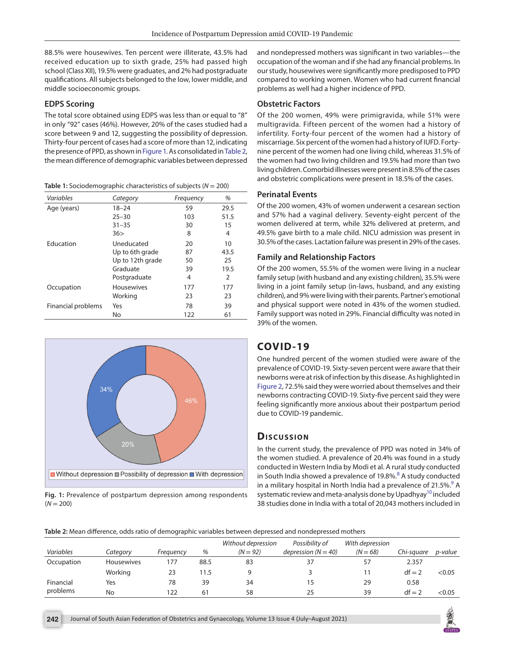88.5% were housewives. Ten percent were illiterate, 43.5% had received education up to sixth grade, 25% had passed high school (Class XII), 19.5% were graduates, and 2% had postgraduate qualifications. All subjects belonged to the low, lower middle, and middle socioeconomic groups.

#### **EDPS Scoring**

The total score obtained using EDPS was less than or equal to "8" in only "92" cases (46%). However, 20% of the cases studied had a score between 9 and 12, suggesting the possibility of depression. Thirty-four percent of cases had a score of more than 12, indicating the presence of PPD, as shown in [Figure 1.](#page-2-1) As consolidated in [Table 2](#page-2-2), the mean difference of demographic variables between depressed

<span id="page-2-0"></span>**Table 1:** Sociodemographic characteristics of subjects (*N* = 200)

| Variables          | Category          | Frequency | %             |
|--------------------|-------------------|-----------|---------------|
| Age (years)        | $18 - 24$         | 59        | 29.5          |
|                    | $25 - 30$         | 103       | 51.5          |
|                    | $31 - 35$         | 30        | 15            |
|                    | 36>               | 8         | 4             |
| <b>Education</b>   | Uneducated        | 20        | 10            |
|                    | Up to 6th grade   | 87        | 43.5          |
|                    | Up to 12th grade  | 50        | 25            |
|                    | Graduate          | 39        | 19.5          |
|                    | Postgraduate      | 4         | $\mathcal{P}$ |
| Occupation         | <b>Housewives</b> | 177       | 177           |
|                    | Working           | 23        | 23            |
| Financial problems | Yes               | 78        | 39            |
|                    | No                | 122       | 61            |



<span id="page-2-1"></span>**Fig. 1:** Prevalence of postpartum depression among respondents  $(N = 200)$ 

and nondepressed mothers was significant in two variables—the occupation of the woman and if she had any financial problems. In our study, housewives were significantly more predisposed to PPD compared to working women. Women who had current financial problems as well had a higher incidence of PPD.

#### **Obstetric Factors**

Of the 200 women, 49% were primigravida, while 51% were multigravida. Fifteen percent of the women had a history of infertility. Forty-four percent of the women had a history of miscarriage. Six percent of the women had a history of IUFD. Fortynine percent of the women had one living child, whereas 31.5% of the women had two living children and 19.5% had more than two living children. Comorbid illnesses were present in 8.5% of the cases and obstetric complications were present in 18.5% of the cases.

#### **Perinatal Events**

Of the 200 women, 43% of women underwent a cesarean section and 57% had a vaginal delivery. Seventy-eight percent of the women delivered at term, while 32% delivered at preterm, and 49.5% gave birth to a male child. NICU admission was present in 30.5% of the cases. Lactation failure was present in 29% of the cases.

#### **Family and Relationship Factors**

Of the 200 women, 55.5% of the women were living in a nuclear family setup (with husband and any existing children), 35.5% were living in a joint family setup (in-laws, husband, and any existing children), and 9% were living with their parents. Partner's emotional and physical support were noted in 43% of the women studied. Family support was noted in 29%. Financial difficulty was noted in 39% of the women.

# **COVID-19**

One hundred percent of the women studied were aware of the prevalence of COVID-19. Sixty-seven percent were aware that their newborns were at risk of infection by this disease. As highlighted in [Figure 2](#page-3-2), 72.5% said they were worried about themselves and their newborns contracting COVID-19. Sixty-five percent said they were feeling significantly more anxious about their postpartum period due to COVID-19 pandemic.

#### **Dis c u s sio n**

In the current study, the prevalence of PPD was noted in 34% of the women studied. A prevalence of 20.4% was found in a study conducted in Western India by Modi et al. A rural study conducted in South India showed a prevalence of 19.[8](#page-4-5)%.<sup>8</sup> A study conducted in a military hospital in North India had a prevalence of 21.5%. $^9$  A systematic review and meta-analysis done by Upadhyay<sup>10</sup> included 38 studies done in India with a total of 20,043 mothers included in

<span id="page-2-2"></span>**Table 2:** Mean difference, odds ratio of demographic variables between depressed and nondepressed mothers

| Variables  | Category          | Freauency | %    | Without depression<br>$(N = 92)$ | Possibility of<br>depression ( $N = 40$ ) | With depression<br>$(N = 68)$ | Chi-sauare | p-value |
|------------|-------------------|-----------|------|----------------------------------|-------------------------------------------|-------------------------------|------------|---------|
| Occupation | <b>Housewives</b> | 177       | 88.5 | 83                               |                                           | 57                            | 2.357      |         |
|            | Working           | 23        | 11.5 |                                  |                                           |                               | $df = 2$   | < 0.05  |
| Financial  | Yes               | 78        | 39   | 34                               | 15                                        | 29                            | 0.58       |         |
| problems   | No                | 122       | 61   | 58                               | 25                                        | 39                            | $df = 2$   | < 0.05  |

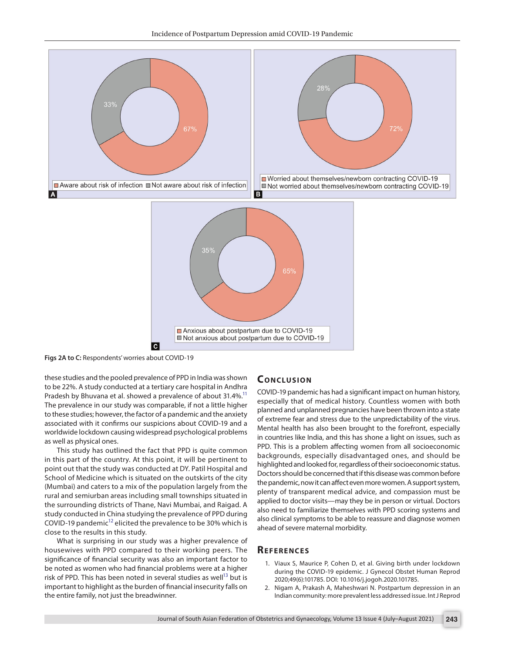

<span id="page-3-2"></span>**Figs 2A to C:** Respondents' worries about COVID-19

these studies and the pooled prevalence of PPD in India was shown to be 22%. A study conducted at a tertiary care hospital in Andhra Pradesh by Bhuvana et al. showed a prevalence of about 31.4%.<sup>11</sup> The prevalence in our study was comparable, if not a little higher to these studies; however, the factor of a pandemic and the anxiety associated with it confirms our suspicions about COVID-19 and a worldwide lockdown causing widespread psychological problems as well as physical ones.

This study has outlined the fact that PPD is quite common in this part of the country. At this point, it will be pertinent to point out that the study was conducted at DY. Patil Hospital and School of Medicine which is situated on the outskirts of the city (Mumbai) and caters to a mix of the population largely from the rural and semiurban areas including small townships situated in the surrounding districts of Thane, Navi Mumbai, and Raigad. A study conducted in China studying the prevalence of PPD during COVID-19 pandemic $^{12}$  elicited the prevalence to be 30% which is close to the results in this study.

What is surprising in our study was a higher prevalence of housewives with PPD compared to their working peers. The significance of financial security was also an important factor to be noted as women who had financial problems were at a higher risk of PPD. This has been noted in several studies as well<sup>13</sup> but is important to highlight as the burden of financial insecurity falls on the entire family, not just the breadwinner.

## **CONCLUSION**

COVID-19 pandemic has had a significant impact on human history, especially that of medical history. Countless women with both planned and unplanned pregnancies have been thrown into a state of extreme fear and stress due to the unpredictability of the virus. Mental health has also been brought to the forefront, especially in countries like India, and this has shone a light on issues, such as PPD. This is a problem affecting women from all socioeconomic backgrounds, especially disadvantaged ones, and should be highlighted and looked for, regardless of their socioeconomic status. Doctors should be concerned that if this disease was common before the pandemic, now it can affect even more women. A support system, plenty of transparent medical advice, and compassion must be applied to doctor visits—may they be in person or virtual. Doctors also need to familiarize themselves with PPD scoring systems and also clinical symptoms to be able to reassure and diagnose women ahead of severe maternal morbidity.

#### **Re f e r e n c e s**

- <span id="page-3-0"></span>1. Viaux S, Maurice P, Cohen D, et al. Giving birth under lockdown during the COVID-19 epidemic. J Gynecol Obstet Human Reprod 2020;49(6):101785. DOI: 10.1016/j.jogoh.2020.101785.
- <span id="page-3-1"></span>2. Nigam A, Prakash A, Maheshwari N. Postpartum depression in an Indian community: more prevalent less addressed issue. Int J Reprod